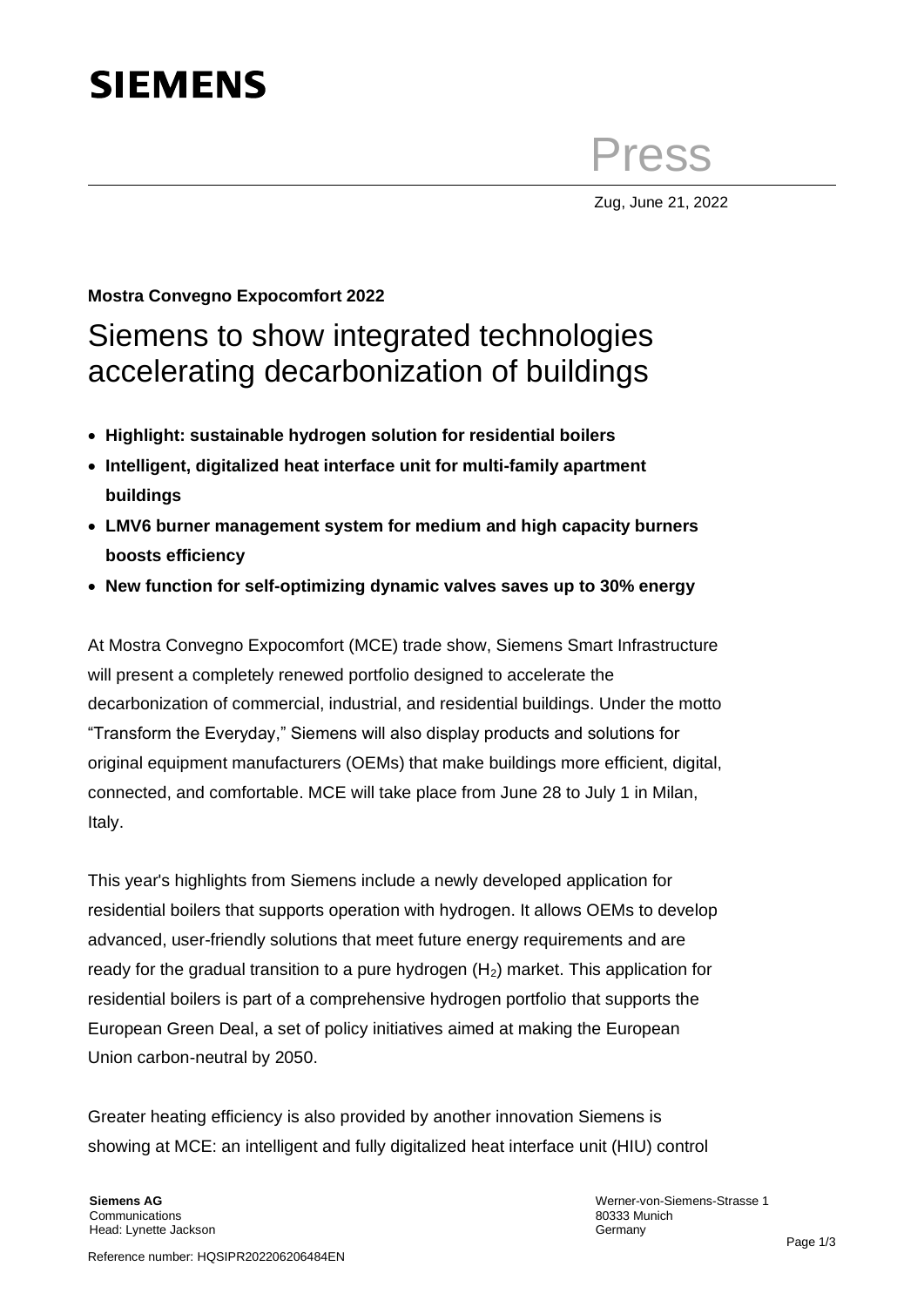# **SIEMENS**

Press

Zug, June 21, 2022

## **Mostra Convegno Expocomfort 2022** Siemens to show integrated technologies accelerating decarbonization of buildings

- **Highlight: sustainable hydrogen solution for residential boilers**
- **Intelligent, digitalized heat interface unit for multi-family apartment buildings**
- **LMV6 burner management system for medium and high capacity burners boosts efficiency**
- **New function for self-optimizing dynamic valves saves up to 30% energy**

At Mostra Convegno Expocomfort (MCE) trade show, Siemens Smart Infrastructure will present a completely renewed portfolio designed to accelerate the decarbonization of commercial, industrial, and residential buildings. Under the motto "Transform the Everyday," Siemens will also display products and solutions for original equipment manufacturers (OEMs) that make buildings more efficient, digital, connected, and comfortable. MCE will take place from June 28 to July 1 in Milan, Italy.

This year's highlights from Siemens include a newly developed application for residential boilers that supports operation with hydrogen. It allows OEMs to develop advanced, user-friendly solutions that meet future energy requirements and are ready for the gradual transition to a pure hydrogen  $(H<sub>2</sub>)$  market. This application for residential boilers is part of a comprehensive hydrogen portfolio that supports the European Green Deal, a set of policy initiatives aimed at making the European Union carbon-neutral by 2050.

Greater heating efficiency is also provided by another innovation Siemens is showing at MCE: an intelligent and fully digitalized heat interface unit (HIU) control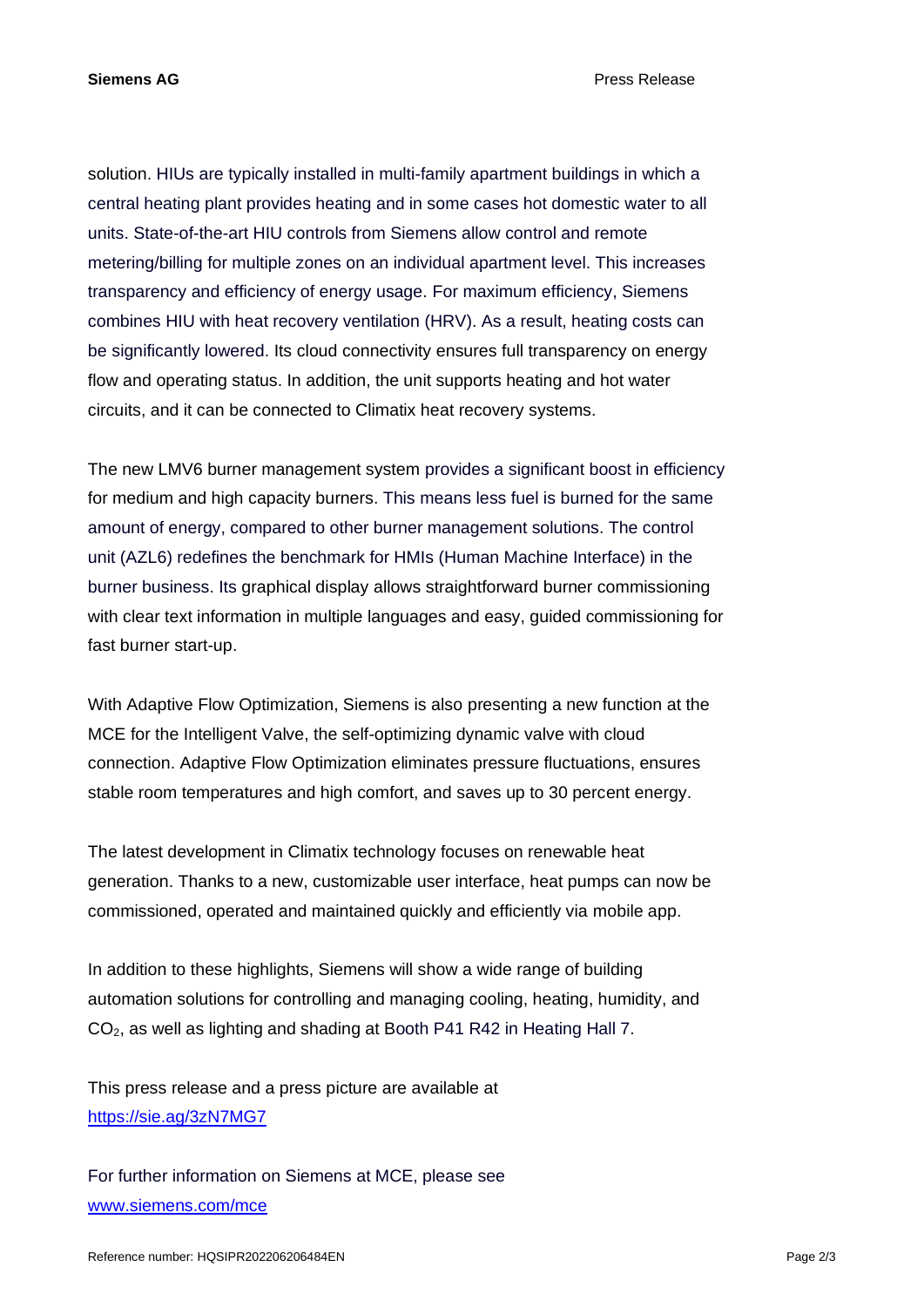**Siemens AG** Press Release

solution. HIUs are typically installed in multi-family apartment buildings in which a central heating plant provides heating and in some cases hot domestic water to all units. State-of-the-art HIU controls from Siemens allow control and remote metering/billing for multiple zones on an individual apartment level. This increases transparency and efficiency of energy usage. For maximum efficiency, Siemens combines HIU with heat recovery ventilation (HRV). As a result, heating costs can be significantly lowered. Its cloud connectivity ensures full transparency on energy flow and operating status. In addition, the unit supports heating and hot water circuits, and it can be connected to Climatix heat recovery systems.

The new LMV6 burner management system provides a significant boost in efficiency for medium and high capacity burners. This means less fuel is burned for the same amount of energy, compared to other burner management solutions. The control unit (AZL6) redefines the benchmark for HMIs (Human Machine Interface) in the burner business. Its graphical display allows straightforward burner commissioning with clear text information in multiple languages and easy, guided commissioning for fast burner start-up.

With Adaptive Flow Optimization, Siemens is also presenting a new function at the MCE for the Intelligent Valve, the self-optimizing dynamic valve with cloud connection. Adaptive Flow Optimization eliminates pressure fluctuations, ensures stable room temperatures and high comfort, and saves up to 30 percent energy.

The latest development in Climatix technology focuses on renewable heat generation. Thanks to a new, customizable user interface, heat pumps can now be commissioned, operated and maintained quickly and efficiently via mobile app.

In addition to these highlights, Siemens will show a wide range of building automation solutions for controlling and managing cooling, heating, humidity, and CO2, as well as lighting and shading at Booth P41 R42 in Heating Hall 7.

This press release and a press picture are available at <https://sie.ag/3zN7MG7>

For further information on Siemens at MCE, please see [www.siemens.com/mce](http://www.siemens.com/mce)